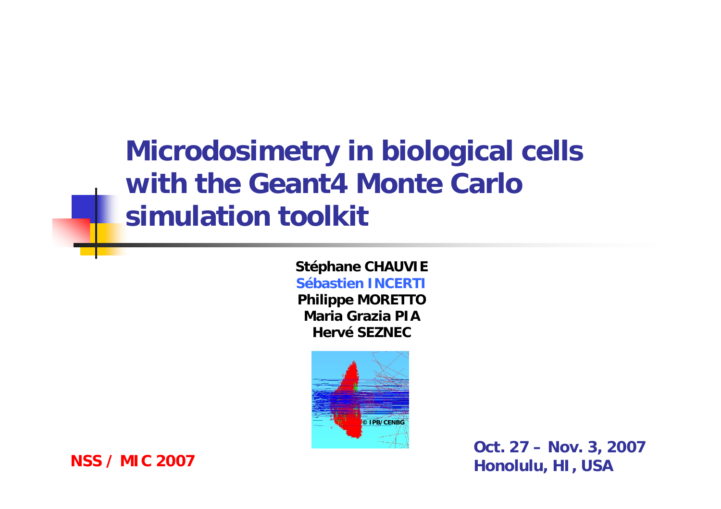### **Microdosimetry in biological cells with the Geant4 Monte Carlo simulation toolkit**

**Stéphane CHAUVIE Sébastien INCERTIPhilippe MORETTO Maria Grazia PIA**

**Hervé SEZNEC**



**Oct. 27 – Nov. 3, 2007 Honolulu, HI, USA**

#### **NSS / MIC 2007**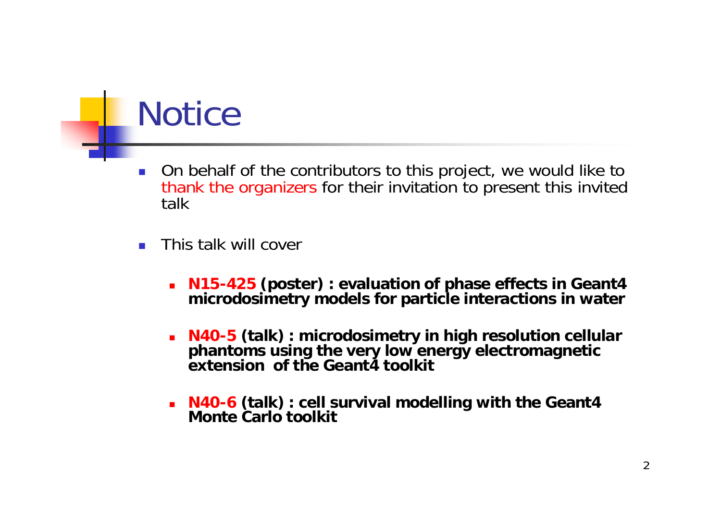### **Notice**

- F. On behalf of the contributors to this project, we would like to thank the organizers for their invitation to present this invited talk
- This talk will cover
	- **N15-425 (poster) : evaluation of phase effects in Geant4 microdosimetry models for particle interactions in water**
	- **N40-5 (talk) : microdosimetry in high resolution cellular phantoms using the very low energy electromagnetic extension of the Geant4 toolkit**
	- **N40-6 (talk) : cell survival modelling with the Geant4 Monte Carlo toolkit**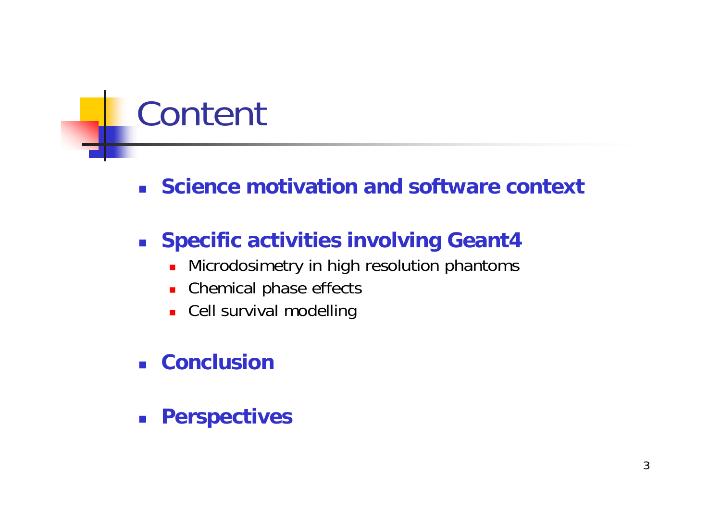# Content

**Science motivation and software context**

### **Specific activities involving Geant4**

- $\mathbf{r}$ Microdosimetry in high resolution phantoms
- $\blacksquare$ Chemical phase effects
- Cell survival modelling
- **Conclusion**
- $\mathcal{L}^{\text{max}}_{\text{max}}$ **Perspectives**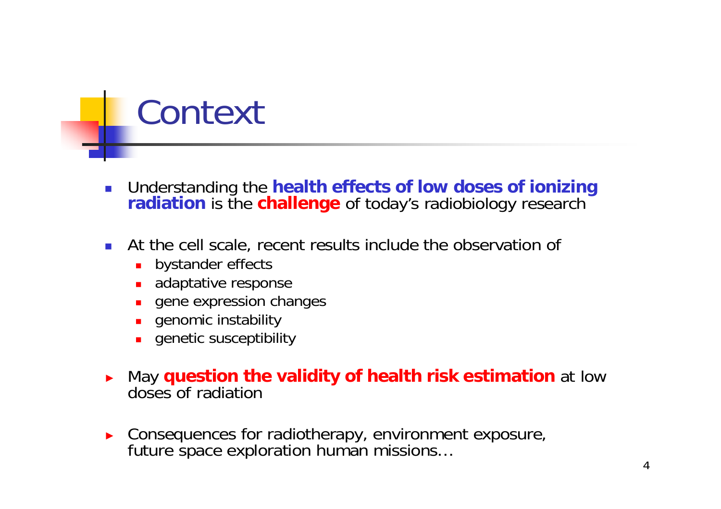### Context

- $\overline{\phantom{a}}$  Understanding the **health effects of low doses of ionizing radiation** is the **challenge** of today's radiobiology research
- $\mathcal{L}_{\mathcal{A}}$  At the cell scale, recent results include the observation of
	- $\blacksquare$ bystander effects
	- adaptative response
	- $\blacksquare$ gene expression changes
	- $\blacksquare$ genomic instability
	- П genetic susceptibility
- ► May **question the validity of health risk estimation** at low doses of radiation
- ► Consequences for radiotherapy, environment exposure, future space exploration human missions…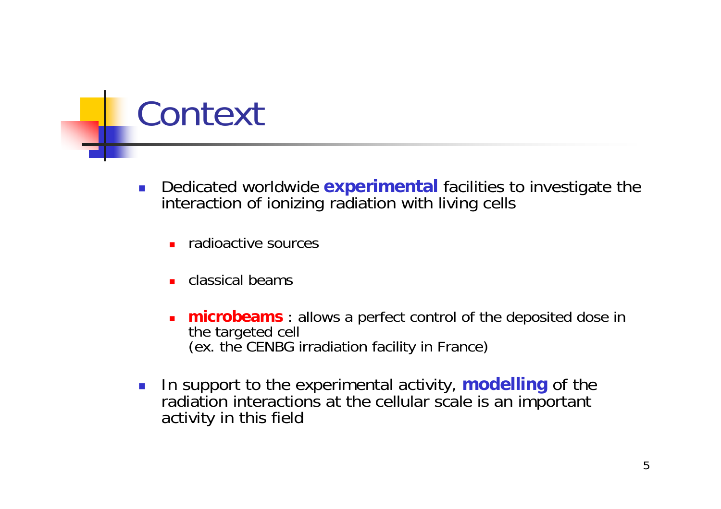### Context

- У. Dedicated worldwide **experimental** facilities to investigate the interaction of ionizing radiation with living cells
	- **n** radioactive sources
	- П classical beams
	- ▉ **microbeams** : allows a perfect control of the deposited dose in the targeted cell (ex. the CENBG irradiation facility in France)
- $\overline{\mathcal{A}}$  In support to the experimental activity, **modelling** of the radiation interactions at the cellular scale is an important activity in this field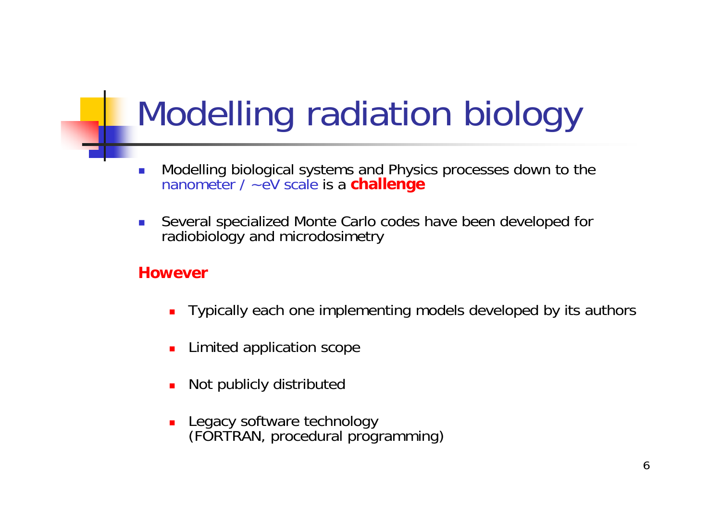# Modelling radiation biology

- $\overline{\phantom{a}}$ Modelling biological systems and Physics processes down to the nanometer / ~eV scale is a **challenge**
- $\overline{\phantom{a}}$  Several specialized Monte Carlo codes have been developed for radiobiology and microdosimetry

### **However**

- ▉ Typically each one implementing models developed by its authors
- П Limited application scope
- ▉ Not publicly distributed
- Г Legacy software technology (FORTRAN, procedural programming)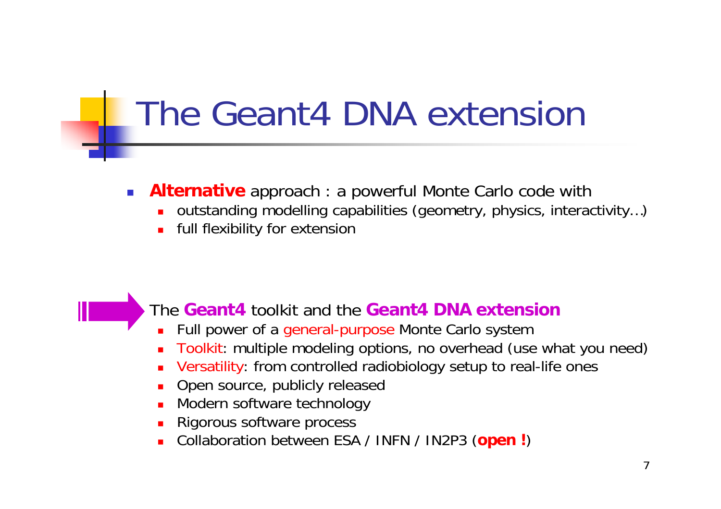### The Geant4 DNA extension

- **Alternative** approach : a powerful Monte Carlo code with
	- outstanding modelling capabilities (geometry, physics, interactivity…)
	- full flexibility for extension

The **Geant4** toolkit and the **Geant4 DNA extension**

- Full power of a general-purpose Monte Carlo system
- Toolkit: multiple modeling options, no overhead (use what you need)
- Versatility: from controlled radiobiology setup to real-life ones
- Open source, publicly released
- Modern software technology
- Rigorous software process
- Collaboration between ESA / INFN / IN2P3 (**open !** )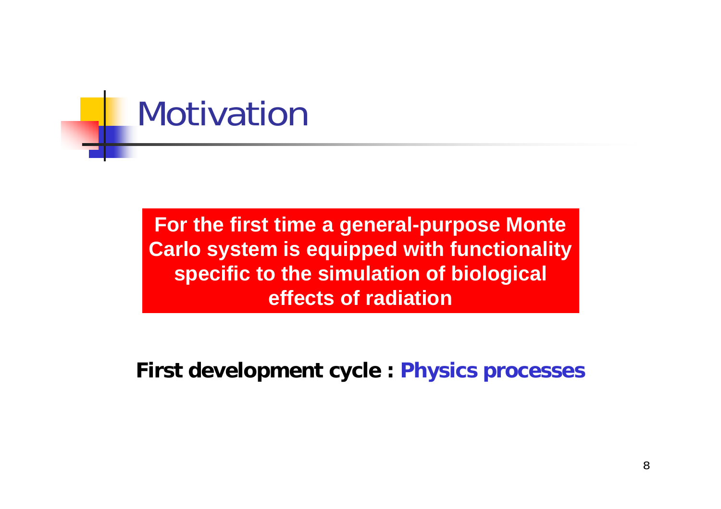

**For the first time a general-purpose Monte Carlo system is equipped with functionality specific to the simulation of biological effects of radiation** 

**First development cycle : Physics processes**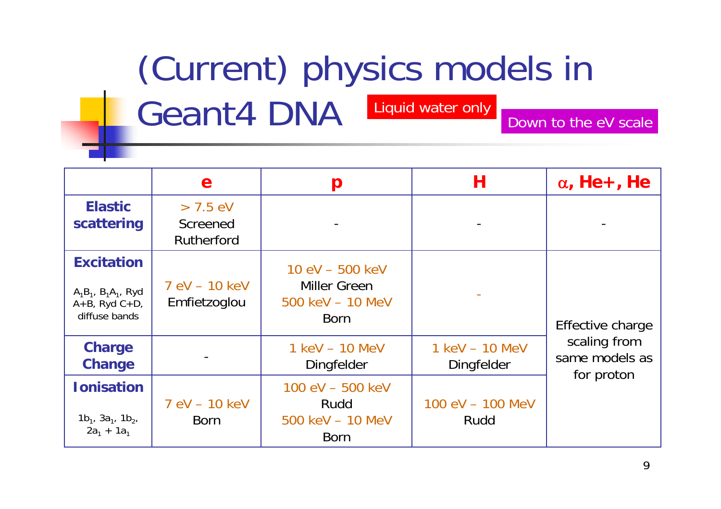# (Current) physics models in

Geant4 DNA Liquid water only Down to the eV scale

|                                                                                        | e                                           | p                                                                                    | Н                            | $\alpha$ , He +, He                                              |
|----------------------------------------------------------------------------------------|---------------------------------------------|--------------------------------------------------------------------------------------|------------------------------|------------------------------------------------------------------|
| <b>Elastic</b><br>scattering                                                           | $> 7.5$ eV<br><b>Screened</b><br>Rutherford |                                                                                      |                              |                                                                  |
| <b>Excitation</b><br>$A_1B_1$ , $B_1A_1$ , Ryd<br>$A+B$ , Ryd $C+D$ ,<br>diffuse bands | 7 eV - 10 keV<br>Emfietzoglou               | $10 \text{ eV} - 500 \text{ keV}$<br>Miller Green<br>500 keV - 10 MeV<br><b>Born</b> |                              | Effective charge<br>scaling from<br>same models as<br>for proton |
| <b>Charge</b><br><b>Change</b>                                                         |                                             | 1 keV - 10 MeV<br>Dingfelder                                                         | 1 keV - 10 MeV<br>Dingfelder |                                                                  |
| <b>Ionisation</b><br>$1b_1$ , $3a_1$ , $1b_2$ ,<br>$2a_1 + 1a_1$                       | 7 eV - 10 keV<br><b>Born</b>                | $100 \text{ eV} - 500 \text{ keV}$<br>Rudd<br>500 keV - 10 MeV<br><b>Born</b>        | 100 eV - 100 MeV<br>Rudd     |                                                                  |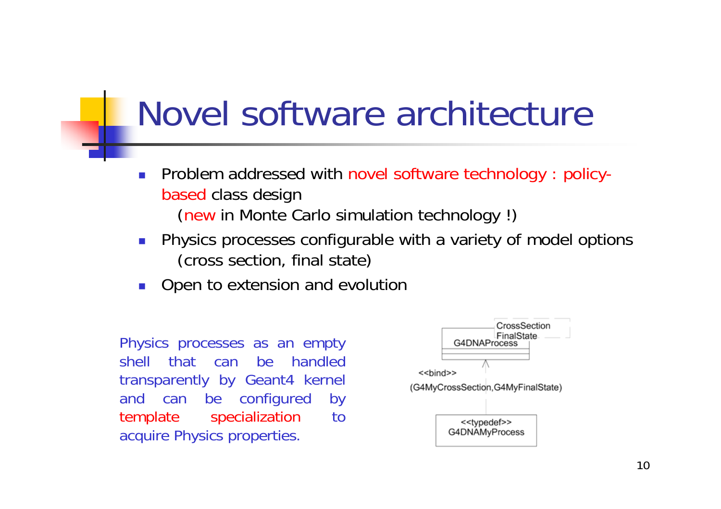### Novel software architecture

- F. Problem addressed with novel software technology : policybased class design (new in Monte Carlo simulation technology !)
- F. Physics processes configurable with a variety of model options (cross section, final state)
- F. Open to extension and evolution

Physics processes as an empty shell that can be handled transparently by Geant4 kernel and can be configured by template specialization to acquire Physics properties.

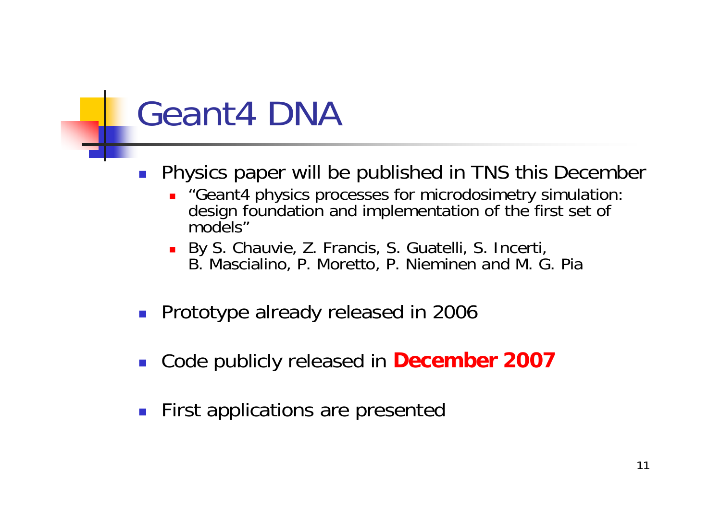### Geant4 DNA

- Ξ Physics paper will be published in TNS this December
	- "Geant4 physics processes for microdosimetry simulation: design foundation and implementation of the first set of models"
	- Π By S. Chauvie, Z. Francis, S. Guatelli, S. Incerti, B. Mascialino, P. Moretto, P. Nieminen and M. G. Pia
- $\mathcal{L}_{\mathcal{A}}$ Prototype already released in 2006
- Ξ Code publicly released in **December 2007**
- Ξ First applications are presented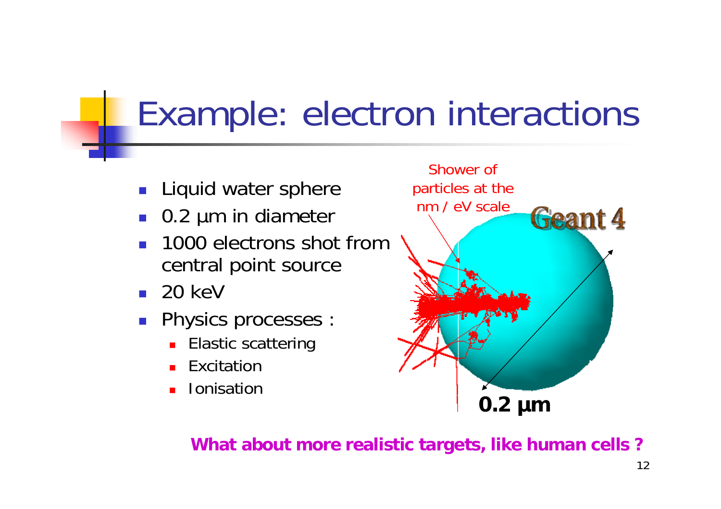### Example: electron interactions

- F Liquid water sphere
- Ξ 0.2 µm in diameter
- Ξ 1000 electrons shot fromcentral point source
- $\blacksquare$  20 keV
- Ξ Physics processes :
	- Π Elastic scattering
	- П Excitation
	- П Ionisation



**What about more realistic targets, like human cells ?**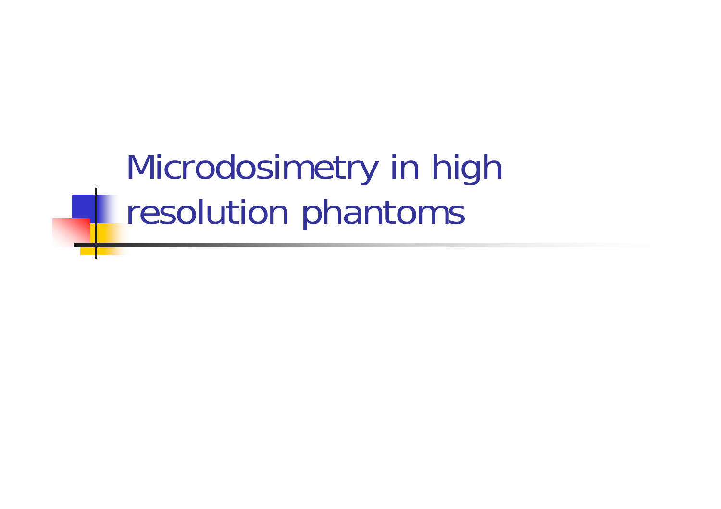### Microdosimetry in high resolution phantoms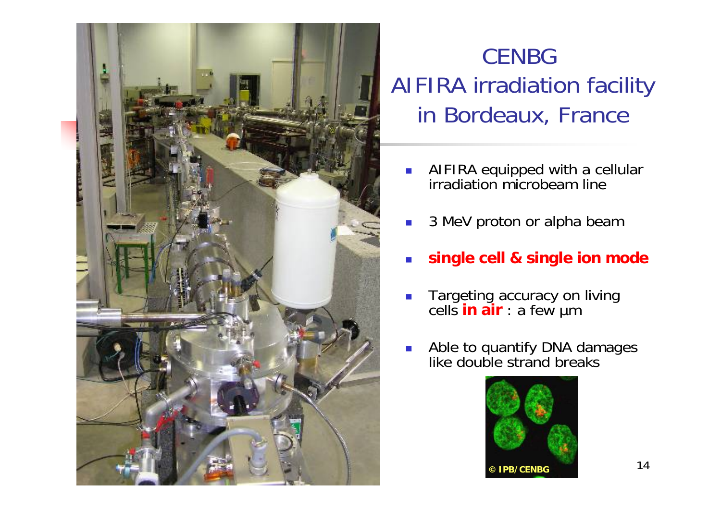

### **CENBG** AIFIRA irradiation facility in Bordeaux, France

- E **AIFIRA equipped with a cellular** irradiation microbeam line
- P. 3 MeV proton or alpha beam
- P. **single cell & single ion mode**
- L. **Targeting accuracy on living** cells **in air** : a few µm
- P. **Able to quantify DNA damages** like double strand breaks

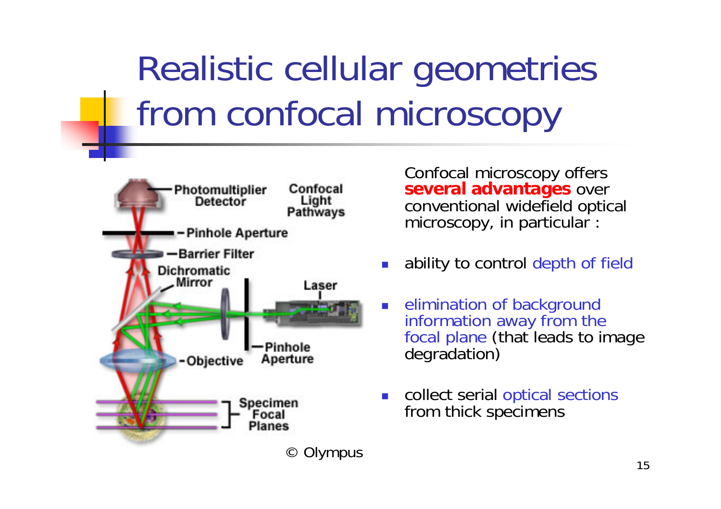# Realistic cellular geometries from confocal microscopy



Confocal microscopy offers **several advantages** over conventional widefield optical microscopy, in particular :

- F. ability to control depth of field
- F. elimination of background information away from the focal plane (that leads to image degradation)
- F. collect serial optical sections from thick specimens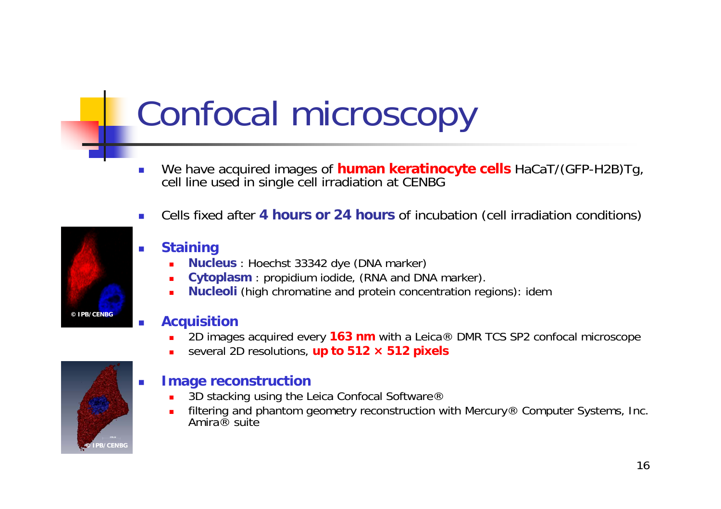## Confocal microscopy

- We have acquired images of **human keratinocyte cells** HaCaT/(GFP-H2B)Tg, cell line used in single cell irradiation at CENBG
- Cells fixed after **4 hours or 24 hours** of incubation (cell irradiation conditions)



#### **Staining**

- п **Nucleus** : Hoechst 33342 dye (DNA marker)
- П **Cytoplasm** : propidium iodide, (RNA and DNA marker).
- П **Nucleoli** (high chromatine and protein concentration regions): idem

#### **Acquisition**

- п 2D images acquired every **163 nm** with a Leica® DMR TCS SP2 confocal microscope
- П several 2D resolutions, **up to 512 × 512 pixels**



#### **Image reconstruction**

- П 3D stacking using the Leica Confocal Software®
- п filtering and phantom geometry reconstruction with Mercury® Computer Systems, Inc.<br>Amira® suite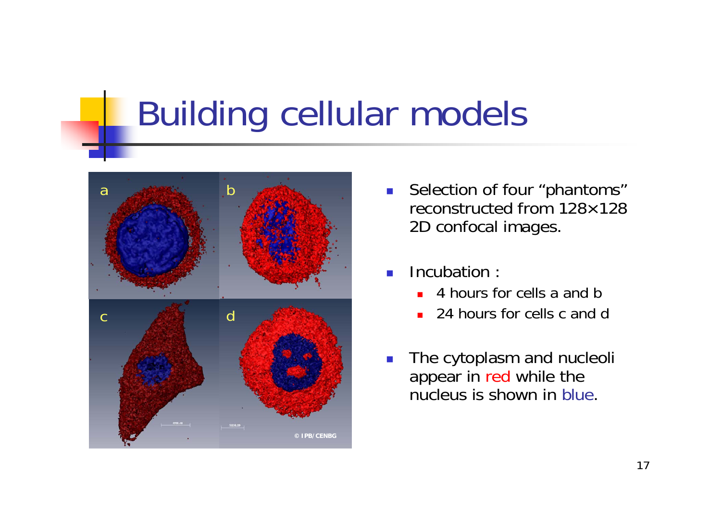### Building cellular models



- $\mathbb{R}^3$  Selection of four "phantoms" reconstructed from 128×128 2D confocal images.
- Incubation :
	- ▉ 4 hours for cells a and b
	- П 24 hours for cells c and d
- The cytoplasm and nucleoli appear in red while the nucleus is shown in blue.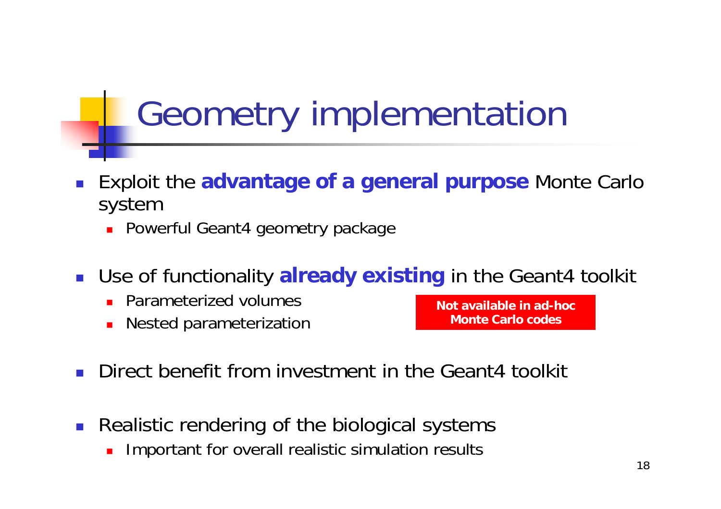### Geometry implementation

- П Exploit the **advantage of a general purpose** Monte Carlo system
	- Powerful Geant4 geometry package
- Use of functionality **already existing** in the Geant4 toolkit
	- **Parameterized volumes**
	- $\blacksquare$ Nested parameterization

**Not available in ad-hoc Monte Carlo codes**

- П Direct benefit from investment in the Geant4 toolkit
- P. Realistic rendering of the biological systems
	- $\blacksquare$ Important for overall realistic simulation results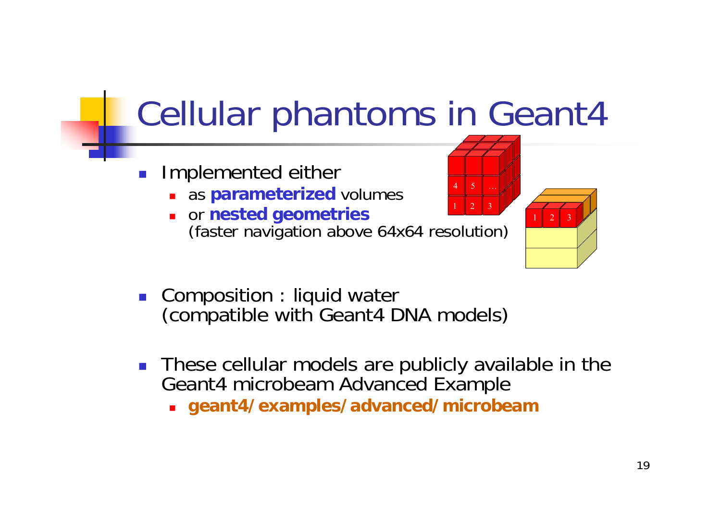### Cellular phantoms in Geant4

- Ξ Implemented either
	- as **parameterized** volumes
	- or **nested geometries** (faster navigation above 64x64 resolution) 1 $1 \parallel 2 \parallel 3$
- Composition : liquid water (compatible with Geant4 DNA models)
- **These cellular models are publicly available in the** Geant4 microbeam Advanced Example
	- **geant4/examples/advanced/microbeam**

7 1

1 $1 \mid 2 \mid 3$ 

4

5 …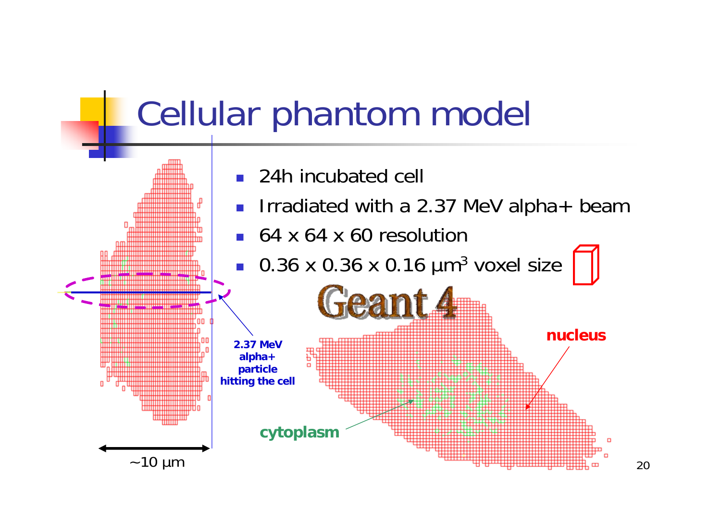### Cellular phantom model

- 24h incubated cell
- П Irradiated with a 2.37 MeV alpha+ beam
- 64 x 64 x 60 resolution

П  $\blacksquare$  0.36 x 0.36 x 0.16  $\mu$ m<sup>3</sup> voxel size

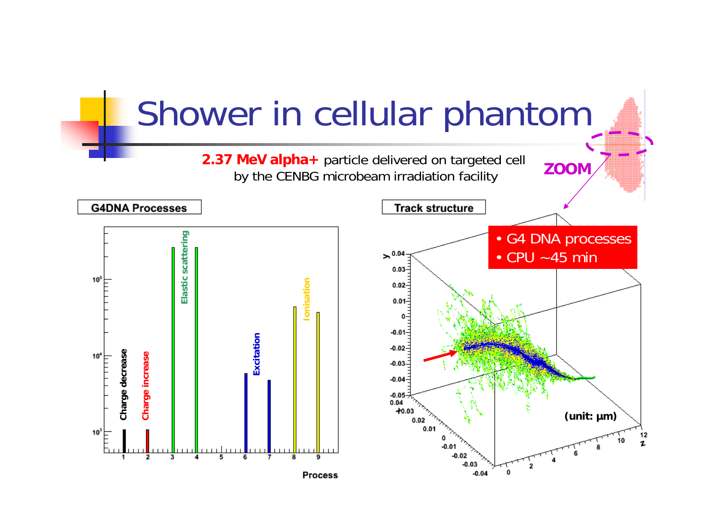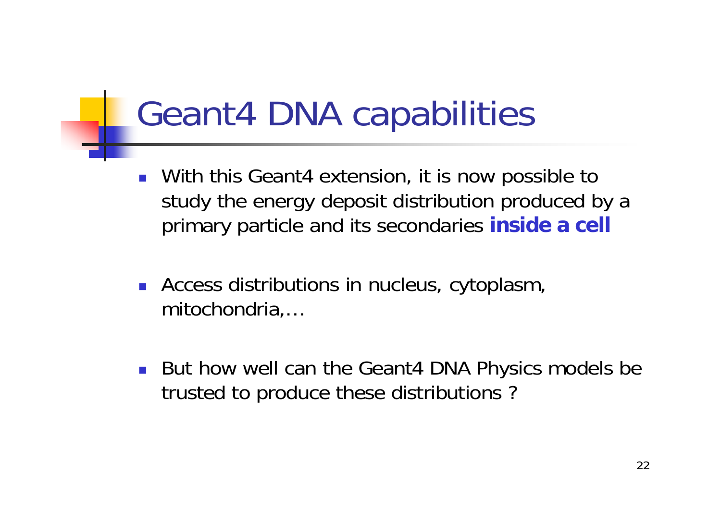### Geant4 DNA capabilities

- With this Geant4 extension, it is now possible to study the energy deposit distribution produced by a primary particle and its secondaries **inside a cell**
- $\mathcal{L}_{\text{max}}$  Access distributions in nucleus, cytoplasm, mitochondria,…
- But how well can the Geant4 DNA Physics models be trusted to produce these distributions ?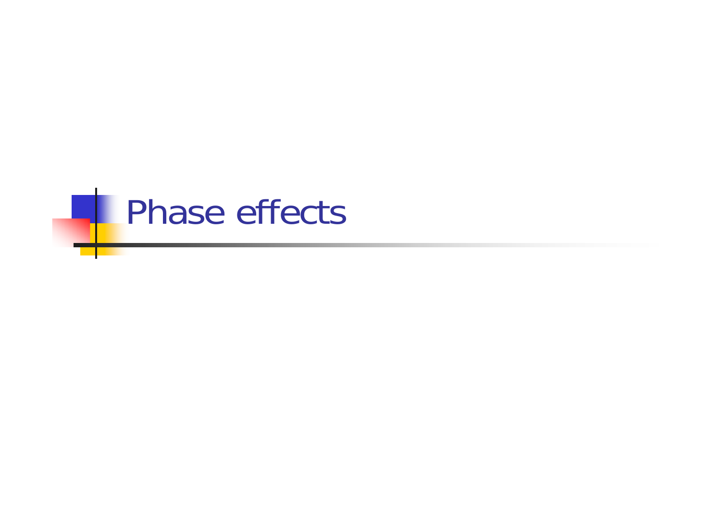# **Phase effects**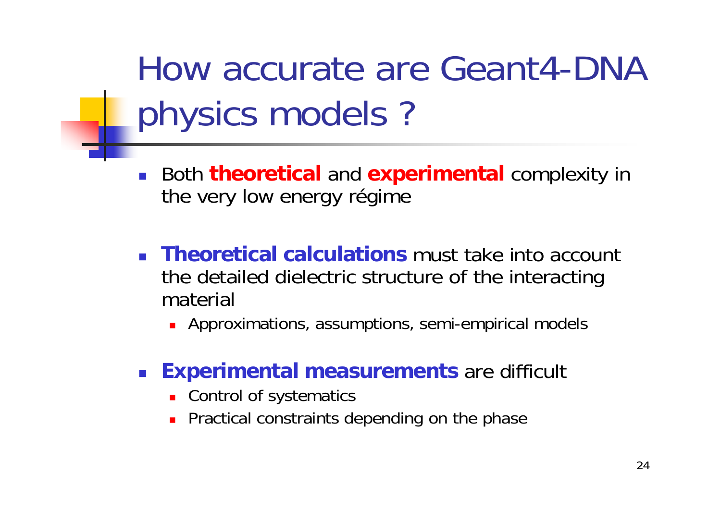How accurate are Geant4-DNA physics models ?

- $\mathcal{L}_{\mathcal{A}}$  Both **theoretical** and **experimental** complexity in the very low energy régime
- **Theoretical calculations** must take into account the detailed dielectric structure of the interacting material
	- Approximations, assumptions, semi-empirical models

#### $\mathcal{L}_{\mathcal{A}}$ **Experimental measurements** are difficult

- **EXECONTROL OF Systematics**
- **Practical constraints depending on the phase**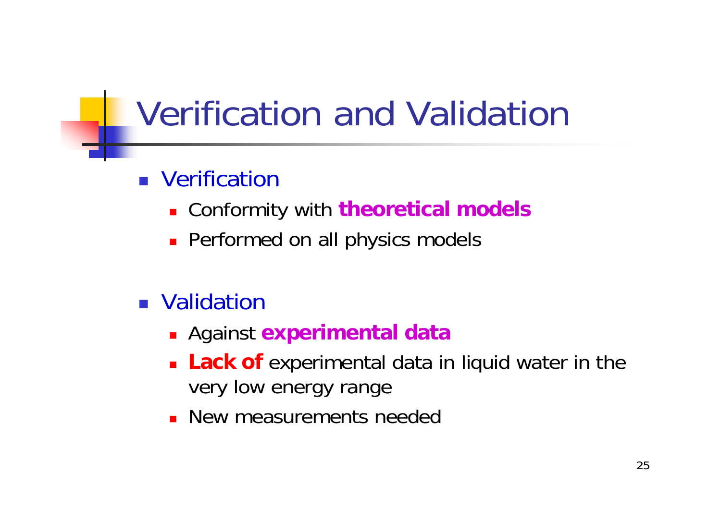### Verification and Validation

### **Nerification**

- Conformity with **theoretical models**
- **Performed on all physics models**

### **Nalidation**

- Against **experimental data**
- **Lack of** experimental data in liquid water in the very low energy range
- **New measurements needed**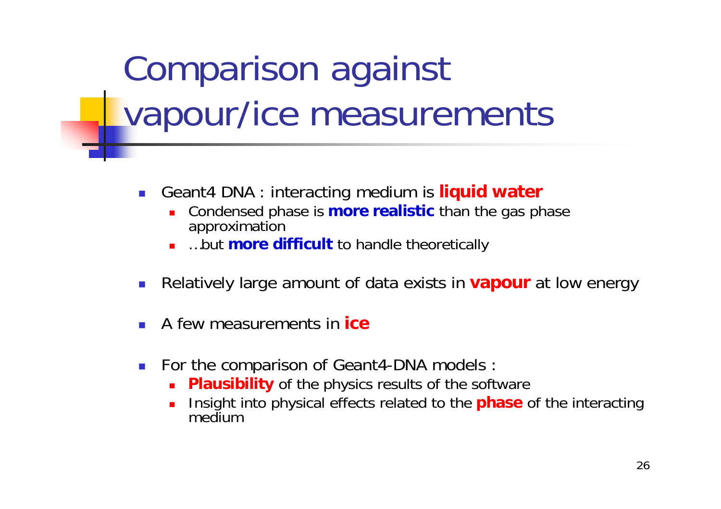## Comparison against vapour/ice measurements

- У. Geant4 DNA : interacting medium is **liquid water**
	- П Condensed phase is **more realistic** than the gas phase approximation
	- Г …but **more difficult** to handle theoretically
- Relatively large amount of data exists in **vapour** at low energy
- A few measurements in **ice**
- F. For the comparison of Geant4-DNA models :
	- $\blacksquare$ **Plausibility** of the physics results of the software
	- П Insight into physical effects related to the **phase** of the interacting medium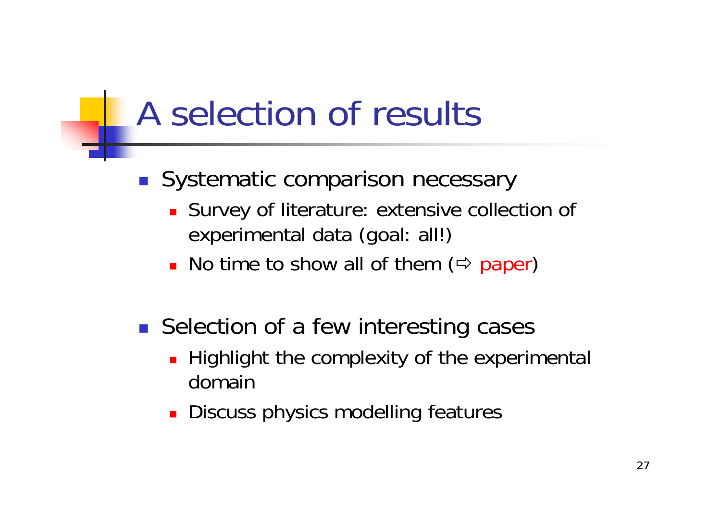### A selection of results

### **Systematic comparison necessary**

- Survey of literature: extensive collection of experimental data (goal: all!)
- No time to show all of them ( $\Leftrightarrow$  paper)

### ■ Selection of a few interesting cases

- **Highlight the complexity of the experimental** domain
- **Discuss physics modelling features**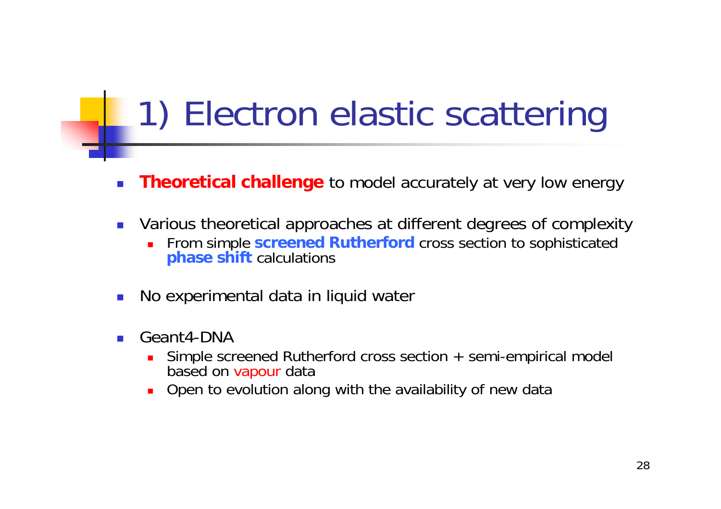### 1) Electron elastic scattering

- П **Theoretical challenge** to model accurately at very low energy
- $\mathcal{L}(\mathcal{A})$  Various theoretical approaches at different degrees of complexity
	- П From simple **screened Rutherford** cross section to sophisticated **phase shift** calculations
- $\mathbb{R}^3$ No experimental data in liquid water
- $\mathcal{C}^{\mathcal{A}}$  Geant4-DNA
	- $\blacksquare$  Simple screened Rutherford cross section + semi-empirical model based on vapour data
	- Ē. Open to evolution along with the availability of new data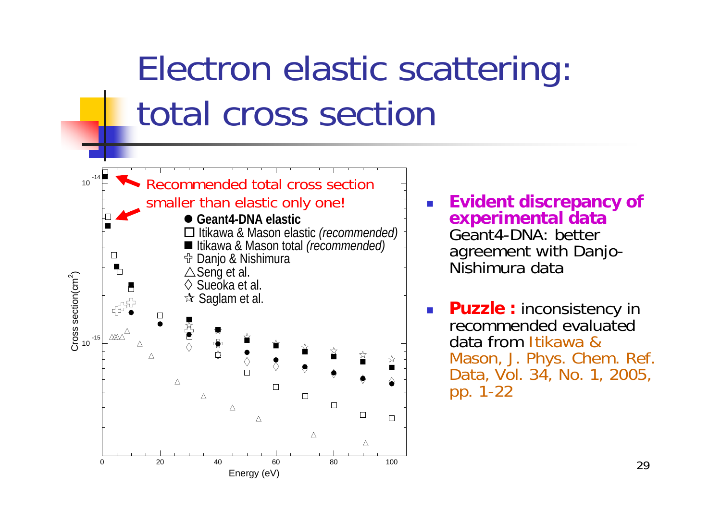### Electron elastic scattering: total cross section



H **Evident discrepancy of experimental data**  Geant4-DNA: better agreement with Danjo-Nishimura data

 $\mathcal{L}^{\mathcal{L}}$ **Puzzle : inconsistency in** recommended evaluated data from Itikawa & Mason, J. Phys. Chem. Ref. Data, Vol. 34, No. 1, 2005, pp. 1-22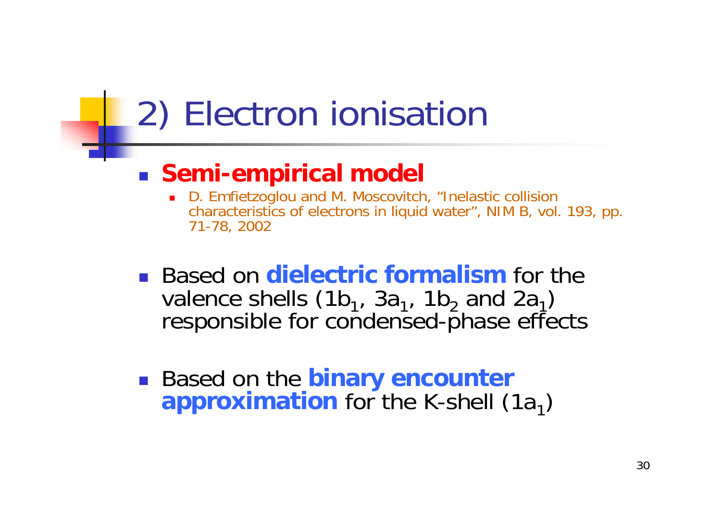### 2) Electron ionisation

### **Semi-empirical model**

- D. Emfietzoglou and M. Moscovitch, "Inelastic collision characteristics of electrons in liquid water", NIM B, vol. 193, pp. 71-78, 2002
- **Example 1 Based on dielectric formalism** for the valence shells (1b $_1$ , 3a $_1$ , 1b $_2$  and 2a  $\,$ responsible for condensed-phase effects
- Based on the **binary encounter approximation** for the K-shell (1a 1)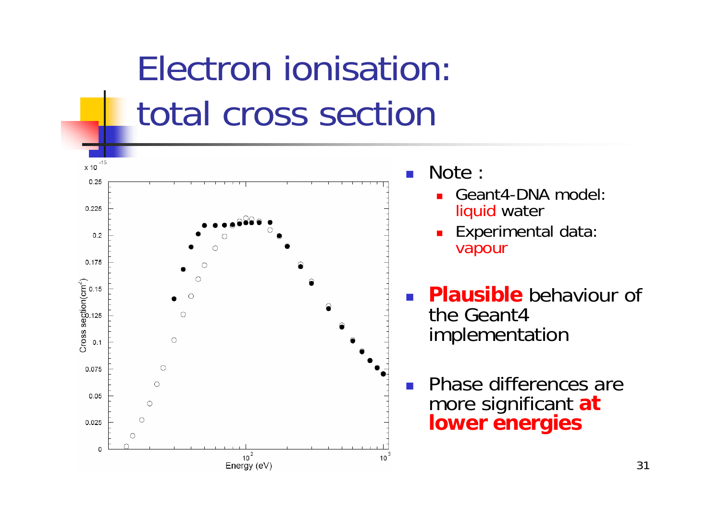### Electron ionisation: total cross section



Note :

- Geant4-DNA model: liquid water
- **Experimental data:** vapour
- **Plausible** behaviour of the Geant4 implementation

 Phase differences are more significant **at lower energies**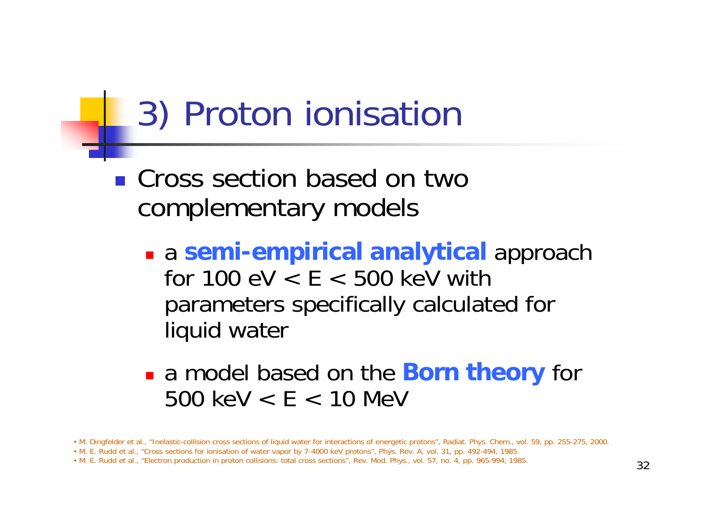### 3) Proton ionisation

### ■ Cross section based on two complementary models

- <sup>a</sup>**semi-empirical analytical** approach for  $100 \text{ eV} < E < 500 \text{ keV}$  with parameters specifically calculated for liquid water
- a model based on the **Born theory** for 500 keV < E < 10 MeV

<sup>•</sup> M. Dingfelder et al., "Inelastic-collision cross sections of liquid water for interactions of energetic protons", Radiat. Phys. Chem., vol. 59, pp. 255-275, 2000.

<sup>•</sup> M. E. Rudd et al., "Cross sections for ionisation of water vapor by 7-4000 keV protons", Phys. Rev. A, vol. 31, pp. 492-494, 1985.

<sup>•</sup> M. E. Rudd et al., "Electron production in proton collisions: total cross sections", Rev. Mod. Phys., vol. 57, no. 4, pp. 965-994, 1985.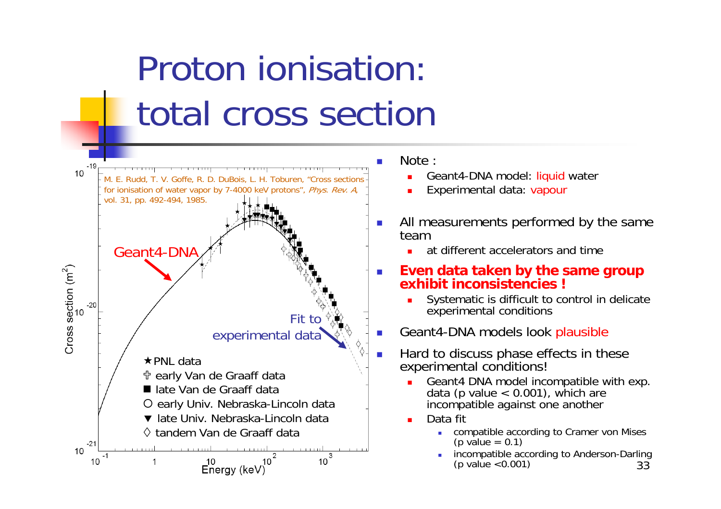## Proton ionisation: total cross section



Note :

- Geant4-DNA model: liquid water
- Experimental data: vapour
- $\mathcal{L}_{\mathcal{A}}$  All measurements performed by the same team
	- at different accelerators and time
- $\mathcal{L}_{\mathcal{A}}$  **Even data taken by the same group exhibit inconsistencies !**
	- Systematic is difficult to control in delicate experimental conditions
- Geant4-DNA models look plausible
- Hard to discuss phase effects in these experimental conditions!
	- Geant4 DNA model incompatible with exp. data (p value < 0.001), which are incompatible against one another
	- Data fit
		- г compatible according to Cramer von Mises (p value =  $0.1$ )
		- 33incompatible according to Anderson-Darling (p value <0.001)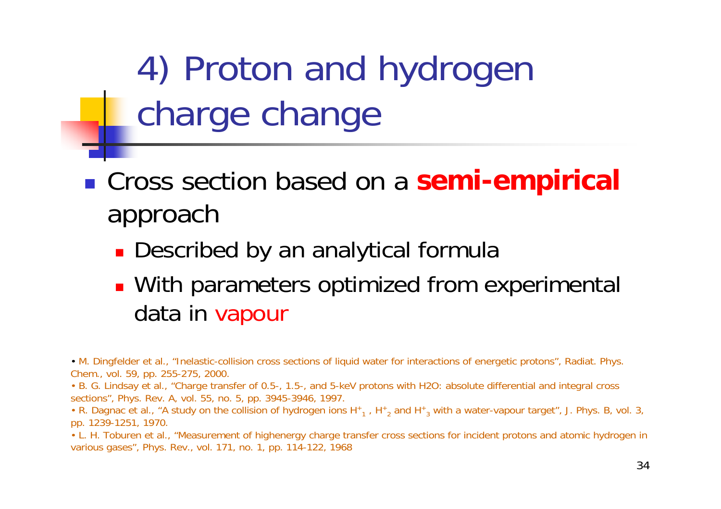4) Proton and hydrogen charge change

 Cross section based on a **semi-empirical** approach

- **.** Described by an analytical formula
- **With parameters optimized from experimental** data in vapour

• M. Dingfelder et al., "Inelastic-collision cross sections of liquid water for interactions of energetic protons", Radiat. Phys. Chem., vol. 59, pp. 255-275, 2000.

• B. G. Lindsay et al., "Charge transfer of 0.5-, 1.5-, and 5-keV protons with H2O: absolute differential and integral cross sections", Phys. Rev. A, vol. 55, no. 5, pp. 3945-3946, 1997.

• R. Dagnac et al., "A study on the collision of hydrogen ions H $_{1}$  , H $_{2}$  and H $_{3}$  with a water-vapour target", J. Phys. B, vol. 3, pp. 1239-1251, 1970.

• L. H. Toburen et al., "Measurement of highenergy charge transfer cross sections for incident protons and atomic hydrogen in various gases", Phys. Rev., vol. 171, no. 1, pp. 114-122, 1968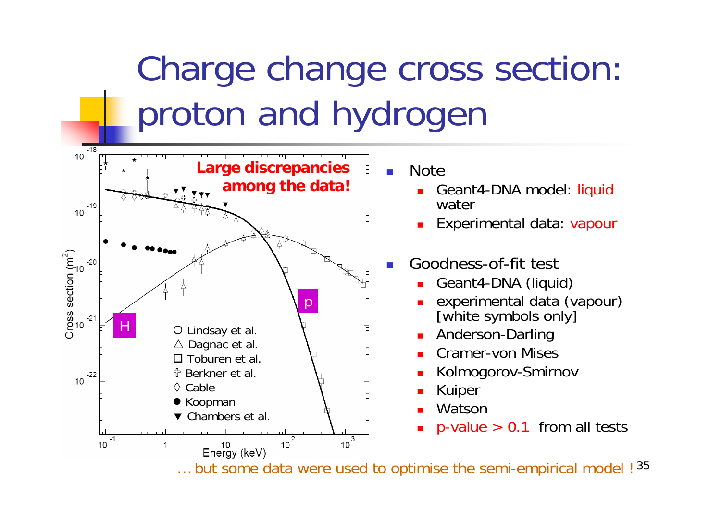## Charge change cross section: proton and hydrogen



**Note** 

- ▉ Geant4-DNA model: liquid water
- ▉ Experimental data: vapour

#### F. Goodness-of-fit test

- П Geant4-DNA (liquid)
- ▉ experimental data (vapour) [white symbols only]
- ▉ Anderson-Darling
- П Cramer-von Mises
- ▉ Kolmogorov-Smirnov
- ▉ Kuiper
- П Watson
- ▉  $p$ -value  $> 0.1$  from all tests

 $\dots$  but some data were used to optimise the semi-empirical model !  $^{35}$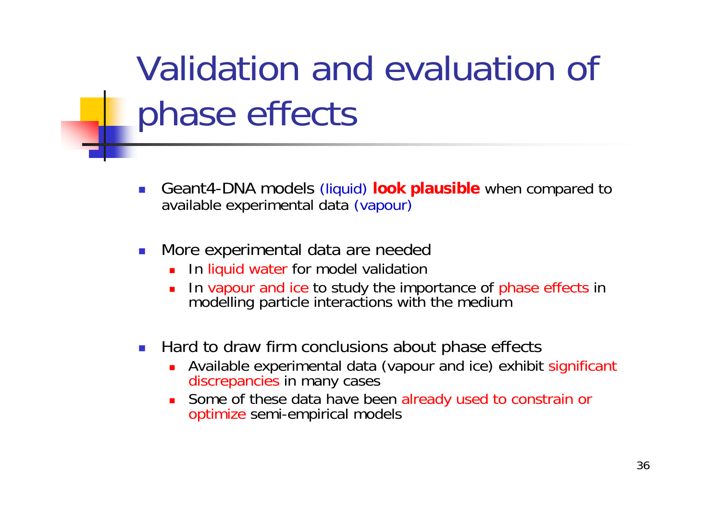### Validation and evaluation of phase effects

- F. Geant4-DNA models (liquid) **look plausible** when compared to available experimental data (vapour)
- $\left\vert \cdot \right\vert$  More experimental data are needed
	- ▉ In liquid water for model validation
	- П In vapour and ice to study the importance of phase effects in modelling particle interactions with the medium
- $\mathbb{R}^3$  Hard to draw firm conclusions about phase effects
	- ▉ Available experimental data (vapour and ice) exhibit significant discrepancies in many cases
	- Some of these data have been already used to constrain or optimize semi-empirical models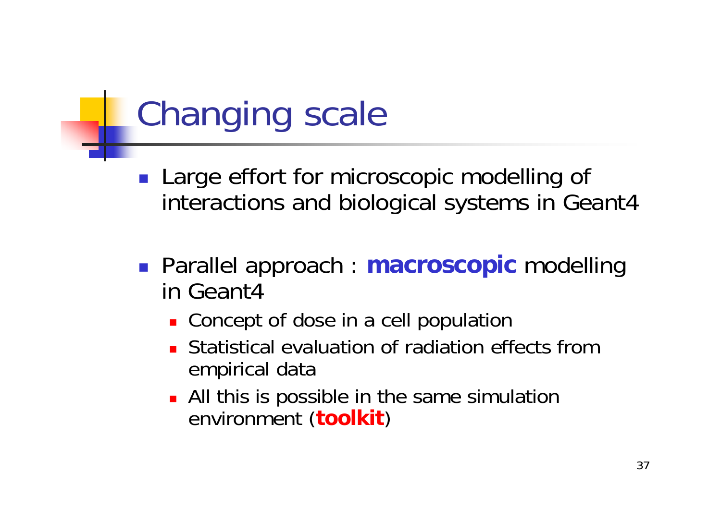### Changing scale

- **Large effort for microscopic modelling of** interactions and biological systems in Geant4
- Parallel approach : **macroscopic** modelling in Geant4
	- **Concept of dose in a cell population**
	- **EXTERNIMI** Statistical evaluation of radiation effects from empirical data
	- **All this is possible in the same simulation** environment (**toolkit** )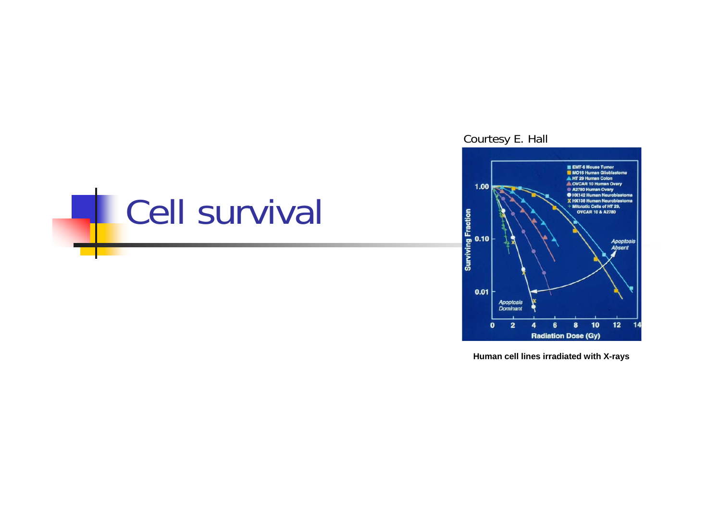### **Cell survival**

#### Courtesy E. Hall



**Human cell lines irradiated with X-rays**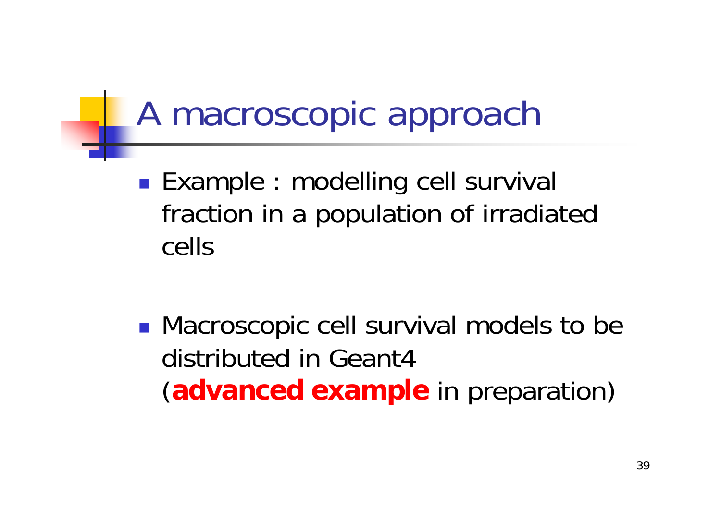### A macroscopic approach

■ Example : modelling cell survival fraction in a population of irradiated cells

■ Macroscopic cell survival models to be distributed in Geant4(**advanced example** in preparation)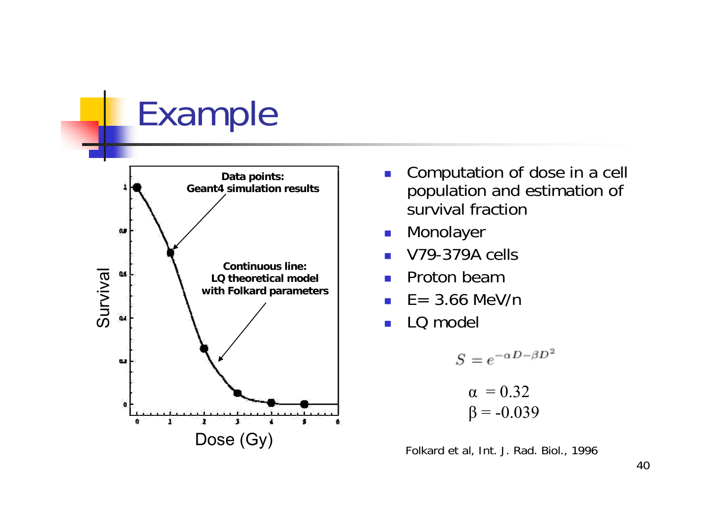### Example



- П Computation of dose in a cell population and estimation of survival fraction
- $\mathbb{R}^3$ Monolayer
- П V79-379A cells
- M. Proton beam
- П  $F = 3.66$  MeV/n
- П LQ model

$$
S = e^{-\alpha D - \beta D^2}
$$

$$
\alpha = 0.32
$$

$$
\beta = -0.039
$$

Folkard et al, Int. J. Rad. Biol., 1996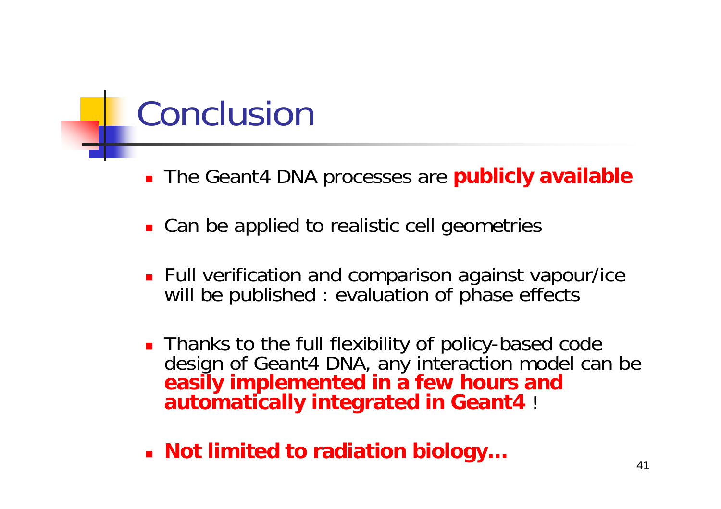### Conclusion

- The Geant4 DNA processes are **publicly available**
- Can be applied to realistic cell geometries
- **Full verification and comparison against vapour/ice** will be published : evaluation of phase effects
- **Thanks to the full flexibility of policy-based code** design of Geant4 DNA, any interaction model can be **easily implemented in a few hours and automatically integrated in Geant4** !
- **Not limited to radiation biology…**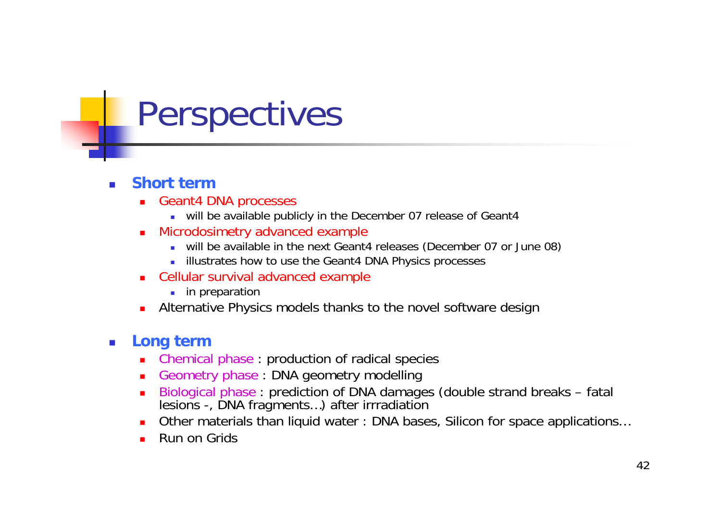### Perspectives

#### **Short term**

- П Geant4 DNA processes
	- will be available publicly in the December 07 release of Geant4
- $\blacksquare$  Microdosimetry advanced example
	- will be available in the next Geant4 releases (December 07 or June 08)
	- $\mathcal{L}_{\mathcal{A}}$ illustrates how to use the Geant4 DNA Physics processes
- П Cellular survival advanced example
	- **in** preparation
- п Alternative Physics models thanks to the novel software design

#### $\mathcal{L}_{\mathcal{A}}$ **Long term**

- $\blacksquare$ Chemical phase : production of radical species
- п Geometry phase : DNA geometry modelling
- П Biological phase : prediction of DNA damages (double strand breaks – fatal lesions -, DNA fragments…) after irrradiation
- $\blacksquare$ Other materials than liquid water : DNA bases, Silicon for space applications…
- П Run on Grids